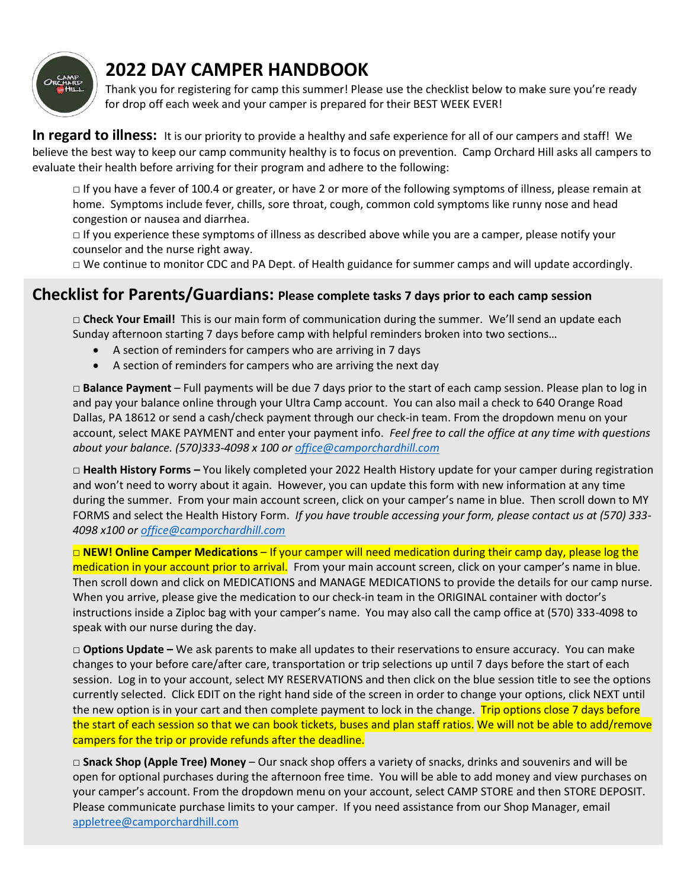

# **2022 DAY CAMPER HANDBOOK**

Thank you for registering for camp this summer! Please use the checklist below to make sure you're ready for drop off each week and your camper is prepared for their BEST WEEK EVER!

In regard to illness: It is our priority to provide a healthy and safe experience for all of our campers and staff! We believe the best way to keep our camp community healthy is to focus on prevention. Camp Orchard Hill asks all campers to evaluate their health before arriving for their program and adhere to the following:

□ If you have a fever of 100.4 or greater, or have 2 or more of the following symptoms of illness, please remain at home. Symptoms include fever, chills, sore throat, cough, common cold symptoms like runny nose and head congestion or nausea and diarrhea.

□ If you experience these symptoms of illness as described above while you are a camper, please notify your counselor and the nurse right away.

□ We continue to monitor CDC and PA Dept. of Health guidance for summer camps and will update accordingly.

### **Checklist for Parents/Guardians: Please complete tasks 7 days prior to each camp session**

□ **Check Your Email!** This is our main form of communication during the summer.We'll send an update each Sunday afternoon starting 7 days before camp with helpful reminders broken into two sections…

- A section of reminders for campers who are arriving in 7 days
- A section of reminders for campers who are arriving the next day

□ **Balance Payment** – Full payments will be due 7 days prior to the start of each camp session. Please plan to log in and pay your balance online through your Ultra Camp account. You can also mail a check to 640 Orange Road Dallas, PA 18612 or send a cash/check payment through our check-in team. From the dropdown menu on your account, select MAKE PAYMENT and enter your payment info. *Feel free to call the office at any time with questions about your balance. (570)333-4098 x 100 or [office@camporchardhill.com](mailto:office@camporchardhill.com)*

□ **Health History Forms** – You likely completed your 2022 Health History update for your camper during registration and won't need to worry about it again. However, you can update this form with new information at any time during the summer. From your main account screen, click on your camper's name in blue. Then scroll down to MY FORMS and select the Health History Form. *If you have trouble accessing your form, please contact us at (570) 333- 4098 x100 o[r office@camporchardhill.com](mailto:office@camporchardhill.com)* 

□ **NEW! Online Camper Medications** – If your camper will need medication during their camp day, please log the medication in your account prior to arrival. From your main account screen, click on your camper's name in blue. Then scroll down and click on MEDICATIONS and MANAGE MEDICATIONS to provide the details for our camp nurse. When you arrive, please give the medication to our check-in team in the ORIGINAL container with doctor's instructions inside a Ziploc bag with your camper's name. You may also call the camp office at (570) 333-4098 to speak with our nurse during the day.

□ **Options Update –** We ask parents to make all updates to their reservations to ensure accuracy. You can make changes to your before care/after care, transportation or trip selections up until 7 days before the start of each session. Log in to your account, select MY RESERVATIONS and then click on the blue session title to see the options currently selected. Click EDIT on the right hand side of the screen in order to change your options, click NEXT until the new option is in your cart and then complete payment to lock in the change. Trip options close 7 days before the start of each session so that we can book tickets, buses and plan staff ratios. We will not be able to add/remove campers for the trip or provide refunds after the deadline.

□ **Snack Shop (Apple Tree) Money** – Our snack shop offers a variety of snacks, drinks and souvenirs and will be open for optional purchases during the afternoon free time. You will be able to add money and view purchases on your camper's account. From the dropdown menu on your account, select CAMP STORE and then STORE DEPOSIT. Please communicate purchase limits to your camper. If you need assistance from our Shop Manager, email [appletree@camporchardhill.com](mailto:appletree@camporchardhill.com)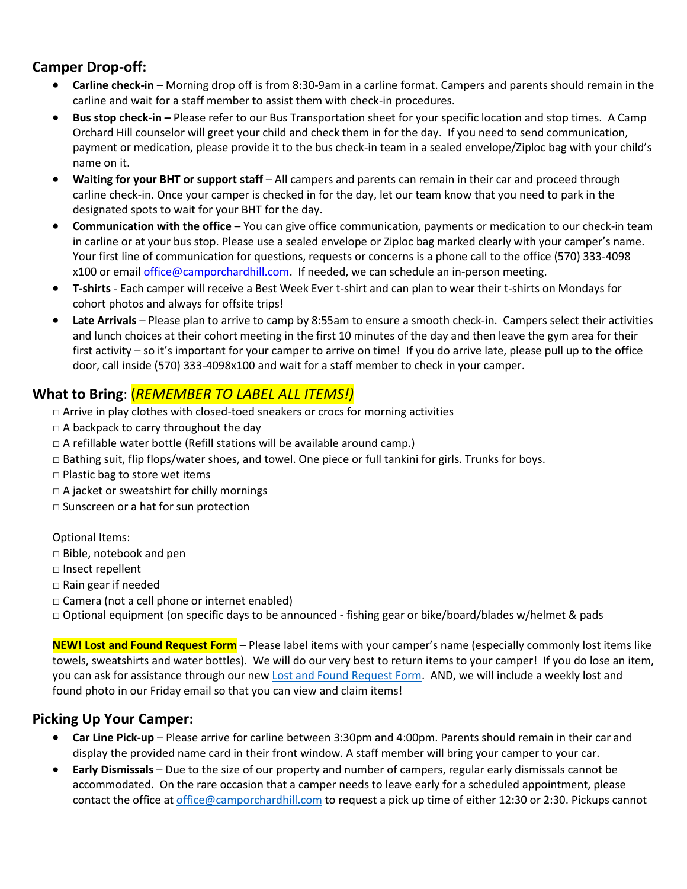### **Camper Drop-off:**

- **Carline check-in**  Morning drop off is from 8:30-9am in a carline format. Campers and parents should remain in the carline and wait for a staff member to assist them with check-in procedures.
- **Bus stop check-in –** Please refer to our Bus Transportation sheet for your specific location and stop times. A Camp Orchard Hill counselor will greet your child and check them in for the day. If you need to send communication, payment or medication, please provide it to the bus check-in team in a sealed envelope/Ziploc bag with your child's name on it.
- **Waiting for your BHT or support staff**  All campers and parents can remain in their car and proceed through carline check-in. Once your camper is checked in for the day, let our team know that you need to park in the designated spots to wait for your BHT for the day.
- **Communication with the office –** You can give office communication, payments or medication to our check-in team in carline or at your bus stop. Please use a sealed envelope or Ziploc bag marked clearly with your camper's name. Your first line of communication for questions, requests or concerns is a phone call to the office (570) 333-4098 x100 or email office@camporchardhill.com. If needed, we can schedule an in-person meeting.
- **T-shirts**  Each camper will receive a Best Week Ever t-shirt and can plan to wear their t-shirts on Mondays for cohort photos and always for offsite trips!
- **Late Arrivals** Please plan to arrive to camp by 8:55am to ensure a smooth check-in. Campers select their activities and lunch choices at their cohort meeting in the first 10 minutes of the day and then leave the gym area for their first activity – so it's important for your camper to arrive on time! If you do arrive late, please pull up to the office door, call inside (570) 333-4098x100 and wait for a staff member to check in your camper.

### **What to Bring**: (*REMEMBER TO LABEL ALL ITEMS!)*

- □ Arrive in play clothes with closed-toed sneakers or crocs for morning activities
- $\Box$  A backpack to carry throughout the day
- $\Box$  A refillable water bottle (Refill stations will be available around camp.)
- □ Bathing suit, flip flops/water shoes, and towel. One piece or full tankini for girls. Trunks for boys.
- □ Plastic bag to store wet items
- □ A jacket or sweatshirt for chilly mornings
- □ Sunscreen or a hat for sun protection

#### Optional Items:

- □ Bible, notebook and pen
- □ Insect repellent
- □ Rain gear if needed
- □ Camera (not a cell phone or internet enabled)
- □ Optional equipment (on specific days to be announced fishing gear or bike/board/blades w/helmet & pads

**NEW! Lost and Found Request Form** – Please label items with your camper's name (especially commonly lost items like towels, sweatshirts and water bottles). We will do our very best to return items to your camper! If you do lose an item, you can ask for assistance through our ne[w Lost and Found Request Form.](https://forms.gle/vBwx5zTnc1UqyUq67) AND, we will include a weekly lost and found photo in our Friday email so that you can view and claim items!

#### **Picking Up Your Camper:**

- **Car Line Pick-up**  Please arrive for carline between 3:30pm and 4:00pm. Parents should remain in their car and display the provided name card in their front window. A staff member will bring your camper to your car.
- **Early Dismissals**  Due to the size of our property and number of campers, regular early dismissals cannot be accommodated. On the rare occasion that a camper needs to leave early for a scheduled appointment, please contact the office at [office@camporchardhill.com](mailto:office@camporchardhill.com) to request a pick up time of either 12:30 or 2:30. Pickups cannot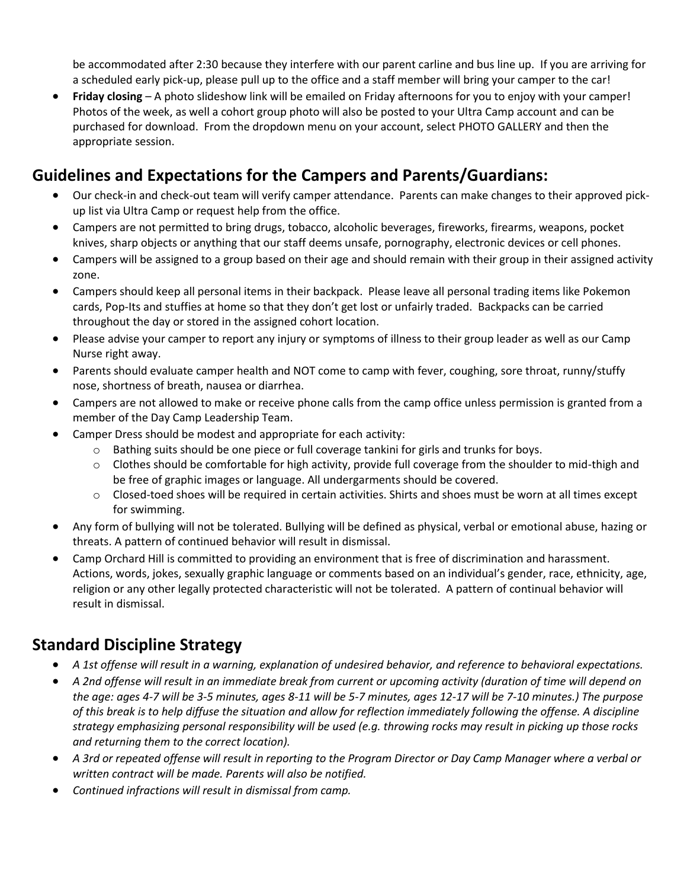be accommodated after 2:30 because they interfere with our parent carline and bus line up. If you are arriving for a scheduled early pick-up, please pull up to the office and a staff member will bring your camper to the car!

 **Friday closing** – A photo slideshow link will be emailed on Friday afternoons for you to enjoy with your camper! Photos of the week, as well a cohort group photo will also be posted to your Ultra Camp account and can be purchased for download. From the dropdown menu on your account, select PHOTO GALLERY and then the appropriate session.

## **Guidelines and Expectations for the Campers and Parents/Guardians:**

- Our check-in and check-out team will verify camper attendance. Parents can make changes to their approved pickup list via Ultra Camp or request help from the office.
- Campers are not permitted to bring drugs, tobacco, alcoholic beverages, fireworks, firearms, weapons, pocket knives, sharp objects or anything that our staff deems unsafe, pornography, electronic devices or cell phones.
- Campers will be assigned to a group based on their age and should remain with their group in their assigned activity zone.
- Campers should keep all personal items in their backpack. Please leave all personal trading items like Pokemon cards, Pop-Its and stuffies at home so that they don't get lost or unfairly traded. Backpacks can be carried throughout the day or stored in the assigned cohort location.
- Please advise your camper to report any injury or symptoms of illness to their group leader as well as our Camp Nurse right away.
- Parents should evaluate camper health and NOT come to camp with fever, coughing, sore throat, runny/stuffy nose, shortness of breath, nausea or diarrhea.
- Campers are not allowed to make or receive phone calls from the camp office unless permission is granted from a member of the Day Camp Leadership Team.
- Camper Dress should be modest and appropriate for each activity:
	- o Bathing suits should be one piece or full coverage tankini for girls and trunks for boys.
	- $\circ$  Clothes should be comfortable for high activity, provide full coverage from the shoulder to mid-thigh and be free of graphic images or language. All undergarments should be covered.
	- o Closed-toed shoes will be required in certain activities. Shirts and shoes must be worn at all times except for swimming.
- Any form of bullying will not be tolerated. Bullying will be defined as physical, verbal or emotional abuse, hazing or threats. A pattern of continued behavior will result in dismissal.
- Camp Orchard Hill is committed to providing an environment that is free of discrimination and harassment. Actions, words, jokes, sexually graphic language or comments based on an individual's gender, race, ethnicity, age, religion or any other legally protected characteristic will not be tolerated. A pattern of continual behavior will result in dismissal.

## **Standard Discipline Strategy**

- *A 1st offense will result in a warning, explanation of undesired behavior, and reference to behavioral expectations.*
- *A 2nd offense will result in an immediate break from current or upcoming activity (duration of time will depend on the age: ages 4-7 will be 3-5 minutes, ages 8-11 will be 5-7 minutes, ages 12-17 will be 7-10 minutes.) The purpose of this break is to help diffuse the situation and allow for reflection immediately following the offense. A discipline strategy emphasizing personal responsibility will be used (e.g. throwing rocks may result in picking up those rocks and returning them to the correct location).*
- *A 3rd or repeated offense will result in reporting to the Program Director or Day Camp Manager where a verbal or written contract will be made. Parents will also be notified.*
- *Continued infractions will result in dismissal from camp.*